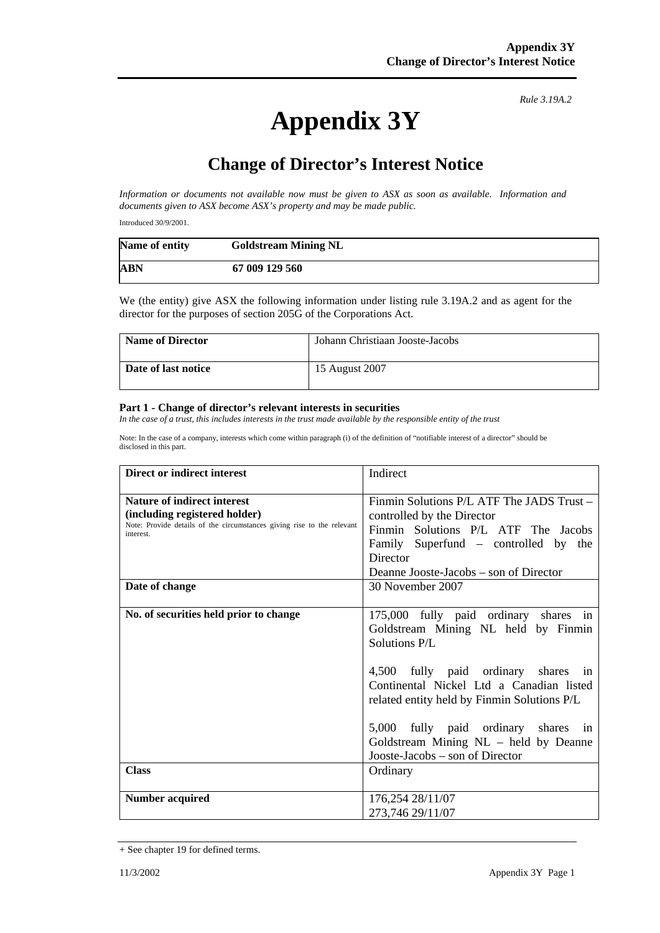## **Appendix 3Y**

*Rule 3.19A.2*

## **Change of Director's Interest Notice**

*Information or documents not available now must be given to ASX as soon as available. Information and documents given to ASX become ASX's property and may be made public.* 

Introduced 30/9/2001.

| Name of entity | <b>Goldstream Mining NL</b> |
|----------------|-----------------------------|
| ABN            | 67 009 129 560              |

We (the entity) give ASX the following information under listing rule 3.19A.2 and as agent for the director for the purposes of section 205G of the Corporations Act.

| <b>Name of Director</b> | Johann Christiaan Jooste-Jacobs |
|-------------------------|---------------------------------|
| Date of last notice     | 15 August 2007                  |

## **Part 1 - Change of director's relevant interests in securities**

In the case of a trust, this includes interests in the trust made available by the responsible entity of the trust

Note: In the case of a company, interests which come within paragraph (i) of the definition of "notifiable interest of a director" should be disclosed in this part.

| Direct or indirect interest                                                         | Indirect                                    |
|-------------------------------------------------------------------------------------|---------------------------------------------|
|                                                                                     |                                             |
| Nature of indirect interest                                                         | Finmin Solutions P/L ATF The JADS Trust -   |
| (including registered holder)                                                       | controlled by the Director                  |
| Note: Provide details of the circumstances giving rise to the relevant<br>interest. | Finmin Solutions P/L ATF The Jacobs         |
|                                                                                     | Family Superfund – controlled by the        |
|                                                                                     | Director                                    |
|                                                                                     | Deanne Jooste-Jacobs – son of Director      |
| Date of change                                                                      | 30 November 2007                            |
|                                                                                     |                                             |
| No. of securities held prior to change                                              | 175,000 fully paid ordinary shares in       |
|                                                                                     | Goldstream Mining NL held by Finmin         |
|                                                                                     | Solutions P/L                               |
|                                                                                     |                                             |
|                                                                                     | 4,500 fully paid ordinary shares in         |
|                                                                                     | Continental Nickel Ltd a Canadian listed    |
|                                                                                     | related entity held by Finmin Solutions P/L |
|                                                                                     |                                             |
|                                                                                     | 5,000 fully paid ordinary shares in         |
|                                                                                     | Goldstream Mining NL – held by Deanne       |
|                                                                                     | Jooste-Jacobs – son of Director             |
| <b>Class</b>                                                                        | Ordinary                                    |
|                                                                                     |                                             |
| <b>Number acquired</b>                                                              | 176,254 28/11/07                            |
|                                                                                     | 273,746 29/11/07                            |

<sup>+</sup> See chapter 19 for defined terms.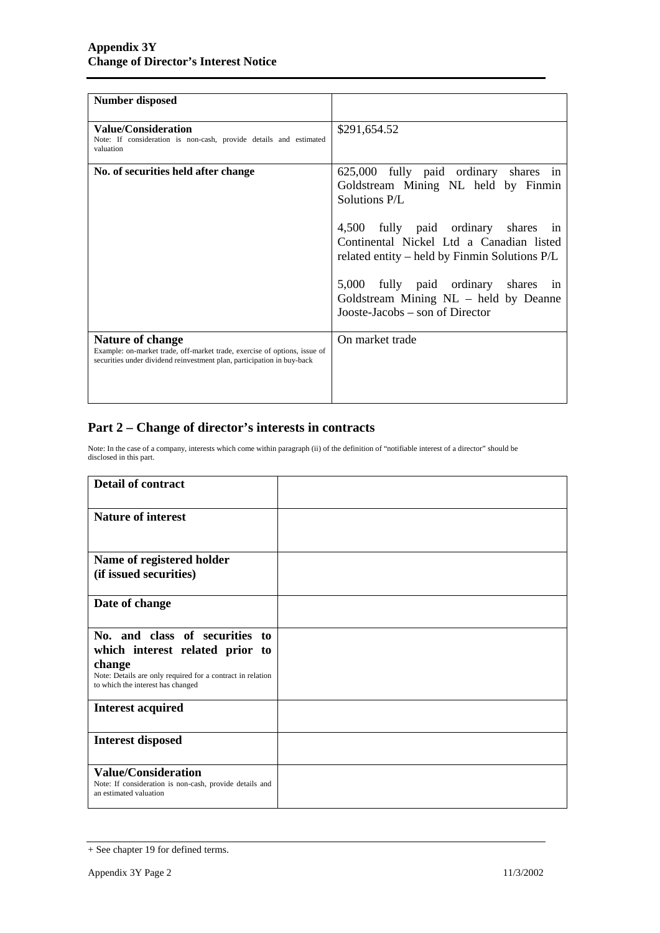| <b>Number disposed</b>                                                                                                                                                  |                                                                                                                                  |
|-------------------------------------------------------------------------------------------------------------------------------------------------------------------------|----------------------------------------------------------------------------------------------------------------------------------|
| Value/Consideration<br>Note: If consideration is non-cash, provide details and estimated<br>valuation                                                                   | \$291,654.52                                                                                                                     |
| No. of securities held after change                                                                                                                                     | 625,000 fully paid ordinary shares in<br>Goldstream Mining NL held by Finmin<br>Solutions P/L                                    |
|                                                                                                                                                                         | 4,500 fully paid ordinary shares in<br>Continental Nickel Ltd a Canadian listed<br>related entity – held by Finmin Solutions P/L |
|                                                                                                                                                                         | 5,000 fully paid ordinary shares in<br>Goldstream Mining NL – held by Deanne<br>Jooste-Jacobs – son of Director                  |
| Nature of change<br>Example: on-market trade, off-market trade, exercise of options, issue of<br>securities under dividend reinvestment plan, participation in buy-back | On market trade                                                                                                                  |

## **Part 2 – Change of director's interests in contracts**

Note: In the case of a company, interests which come within paragraph (ii) of the definition of "notifiable interest of a director" should be disclosed in this part.

| <b>Detail of contract</b>                                                                                                                                                      |  |
|--------------------------------------------------------------------------------------------------------------------------------------------------------------------------------|--|
| <b>Nature of interest</b>                                                                                                                                                      |  |
| Name of registered holder<br>(if issued securities)                                                                                                                            |  |
| Date of change                                                                                                                                                                 |  |
| No. and class of securities to<br>which interest related prior to<br>change<br>Note: Details are only required for a contract in relation<br>to which the interest has changed |  |
| <b>Interest acquired</b>                                                                                                                                                       |  |
| <b>Interest disposed</b>                                                                                                                                                       |  |
| <b>Value/Consideration</b><br>Note: If consideration is non-cash, provide details and<br>an estimated valuation                                                                |  |

<sup>+</sup> See chapter 19 for defined terms.